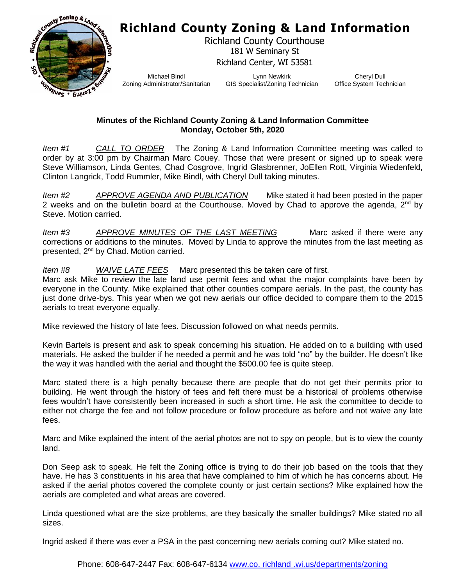## **Richland County Zoning & Land Information**



Richland County Courthouse 181 W Seminary St Richland Center, WI 53581

Michael Bindl Zoning Administrator/Sanitarian

Lynn Newkirk GIS Specialist/Zoning Technician

Cheryl Dull Office System Technician

## **Minutes of the Richland County Zoning & Land Information Committee Monday, October 5th, 2020**

*Item #1 CALL TO ORDER* The Zoning & Land Information Committee meeting was called to order by at 3:00 pm by Chairman Marc Couey. Those that were present or signed up to speak were Steve Williamson, Linda Gentes, Chad Cosgrove, Ingrid Glasbrenner, JoEllen Rott, Virginia Wiedenfeld, Clinton Langrick, Todd Rummler, Mike Bindl, with Cheryl Dull taking minutes.

*Item #2 APPROVE AGENDA AND PUBLICATION* Mike stated it had been posted in the paper 2 weeks and on the bulletin board at the Courthouse. Moved by Chad to approve the agenda,  $2^{nd}$  by Steve. Motion carried.

*Item #3* APPROVE MINUTES OF THE LAST MEETING Marc asked if there were any corrections or additions to the minutes. Moved by Linda to approve the minutes from the last meeting as presented, 2nd by Chad. Motion carried.

*Item #8 WAIVE LATE FEES* Marc presented this be taken care of first.

Marc ask Mike to review the late land use permit fees and what the major complaints have been by everyone in the County. Mike explained that other counties compare aerials. In the past, the county has just done drive-bys. This year when we got new aerials our office decided to compare them to the 2015 aerials to treat everyone equally.

Mike reviewed the history of late fees. Discussion followed on what needs permits.

Kevin Bartels is present and ask to speak concerning his situation. He added on to a building with used materials. He asked the builder if he needed a permit and he was told "no" by the builder. He doesn't like the way it was handled with the aerial and thought the \$500.00 fee is quite steep.

Marc stated there is a high penalty because there are people that do not get their permits prior to building. He went through the history of fees and felt there must be a historical of problems otherwise fees wouldn't have consistently been increased in such a short time. He ask the committee to decide to either not charge the fee and not follow procedure or follow procedure as before and not waive any late fees.

Marc and Mike explained the intent of the aerial photos are not to spy on people, but is to view the county land.

Don Seep ask to speak. He felt the Zoning office is trying to do their job based on the tools that they have. He has 3 constituents in his area that have complained to him of which he has concerns about. He asked if the aerial photos covered the complete county or just certain sections? Mike explained how the aerials are completed and what areas are covered.

Linda questioned what are the size problems, are they basically the smaller buildings? Mike stated no all sizes.

Ingrid asked if there was ever a PSA in the past concerning new aerials coming out? Mike stated no.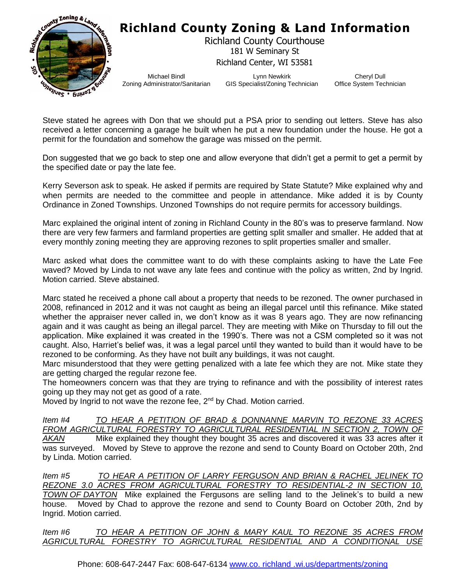

## **Richland County Zoning & Land Information**

Richland County Courthouse 181 W Seminary St Richland Center, WI 53581

Michael Bindl Zoning Administrator/Sanitarian

Lynn Newkirk GIS Specialist/Zoning Technician

Cheryl Dull Office System Technician

Steve stated he agrees with Don that we should put a PSA prior to sending out letters. Steve has also received a letter concerning a garage he built when he put a new foundation under the house. He got a permit for the foundation and somehow the garage was missed on the permit.

Don suggested that we go back to step one and allow everyone that didn't get a permit to get a permit by the specified date or pay the late fee.

Kerry Severson ask to speak. He asked if permits are required by State Statute? Mike explained why and when permits are needed to the committee and people in attendance. Mike added it is by County Ordinance in Zoned Townships. Unzoned Townships do not require permits for accessory buildings.

Marc explained the original intent of zoning in Richland County in the 80's was to preserve farmland. Now there are very few farmers and farmland properties are getting split smaller and smaller. He added that at every monthly zoning meeting they are approving rezones to split properties smaller and smaller.

Marc asked what does the committee want to do with these complaints asking to have the Late Fee waved? Moved by Linda to not wave any late fees and continue with the policy as written, 2nd by Ingrid. Motion carried. Steve abstained.

Marc stated he received a phone call about a property that needs to be rezoned. The owner purchased in 2008, refinanced in 2012 and it was not caught as being an illegal parcel until this refinance. Mike stated whether the appraiser never called in, we don't know as it was 8 years ago. They are now refinancing again and it was caught as being an illegal parcel. They are meeting with Mike on Thursday to fill out the application. Mike explained it was created in the 1990's. There was not a CSM completed so it was not caught. Also, Harriet's belief was, it was a legal parcel until they wanted to build than it would have to be rezoned to be conforming. As they have not built any buildings, it was not caught.

Marc misunderstood that they were getting penalized with a late fee which they are not. Mike state they are getting charged the regular rezone fee.

The homeowners concern was that they are trying to refinance and with the possibility of interest rates going up they may not get as good of a rate.

Moved by Ingrid to not wave the rezone fee, 2<sup>nd</sup> by Chad. Motion carried.

*Item #4 TO HEAR A PETITION OF BRAD & DONNANNE MARVIN TO REZONE 33 ACRES*  FROM AGRICULTURAL FORESTRY TO AGRICULTURAL RESIDENTIAL IN SECTION 2, TOWN OF *AKAN* Mike explained they thought they bought 35 acres and discovered it was 33 acres after it was surveyed. Moved by Steve to approve the rezone and send to County Board on October 20th, 2nd by Linda. Motion carried.

*Item #5 TO HEAR A PETITION OF LARRY FERGUSON AND BRIAN & RACHEL JELINEK TO REZONE 3.0 ACRES FROM AGRICULTURAL FORESTRY TO RESIDENTIAL-2 IN SECTION 10, TOWN OF DAYTON* Mike explained the Fergusons are selling land to the Jelinek's to build a new house. Moved by Chad to approve the rezone and send to County Board on October 20th, 2nd by Ingrid. Motion carried.

*Item #6 TO HEAR A PETITION OF JOHN & MARY KAUL TO REZONE 35 ACRES FROM AGRICULTURAL FORESTRY TO AGRICULTURAL RESIDENTIAL AND A CONDITIONAL USE*